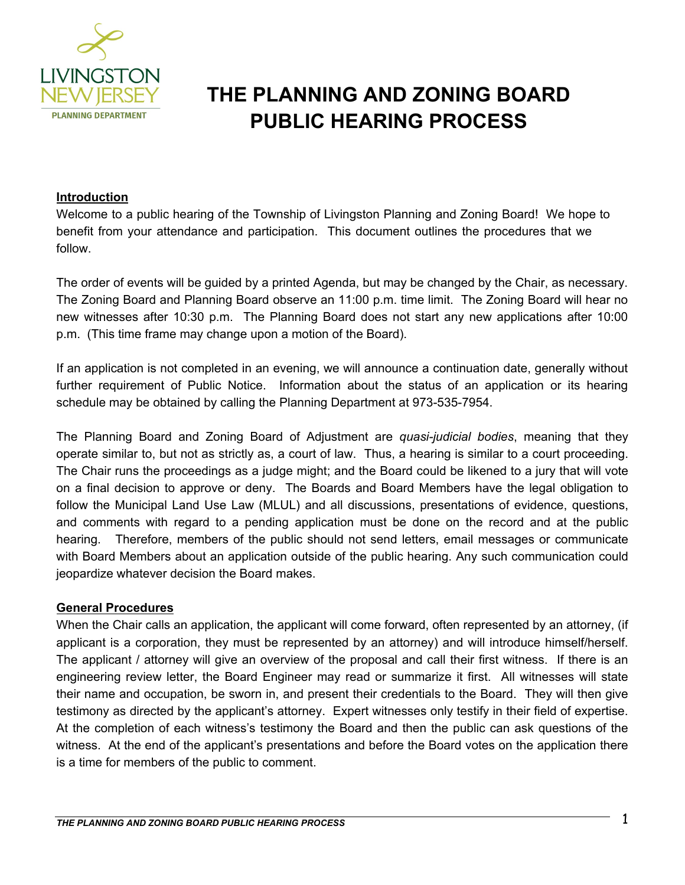

# **THE PLANNING AND ZONING BOARD PUBLIC HEARING PROCESS**

#### **Introduction**

Welcome to a public hearing of the Township of Livingston Planning and Zoning Board! We hope to benefit from your attendance and participation. This document outlines the procedures that we follow.

The order of events will be guided by a printed Agenda, but may be changed by the Chair, as necessary. The Zoning Board and Planning Board observe an 11:00 p.m. time limit. The Zoning Board will hear no new witnesses after 10:30 p.m. The Planning Board does not start any new applications after 10:00 p.m. (This time frame may change upon a motion of the Board).

If an application is not completed in an evening, we will announce a continuation date, generally without further requirement of Public Notice. Information about the status of an application or its hearing schedule may be obtained by calling the Planning Department at 973-535-7954.

The Planning Board and Zoning Board of Adjustment are *quasi-judicial bodies*, meaning that they operate similar to, but not as strictly as, a court of law. Thus, a hearing is similar to a court proceeding. The Chair runs the proceedings as a judge might; and the Board could be likened to a jury that will vote on a final decision to approve or deny. The Boards and Board Members have the legal obligation to follow the Municipal Land Use Law (MLUL) and all discussions, presentations of evidence, questions, and comments with regard to a pending application must be done on the record and at the public hearing. Therefore, members of the public should not send letters, email messages or communicate with Board Members about an application outside of the public hearing. Any such communication could jeopardize whatever decision the Board makes.

#### **General Procedures**

When the Chair calls an application, the applicant will come forward, often represented by an attorney, (if applicant is a corporation, they must be represented by an attorney) and will introduce himself/herself. The applicant / attorney will give an overview of the proposal and call their first witness. If there is an engineering review letter, the Board Engineer may read or summarize it first. All witnesses will state their name and occupation, be sworn in, and present their credentials to the Board. They will then give testimony as directed by the applicant's attorney. Expert witnesses only testify in their field of expertise. At the completion of each witness's testimony the Board and then the public can ask questions of the witness. At the end of the applicant's presentations and before the Board votes on the application there is a time for members of the public to comment.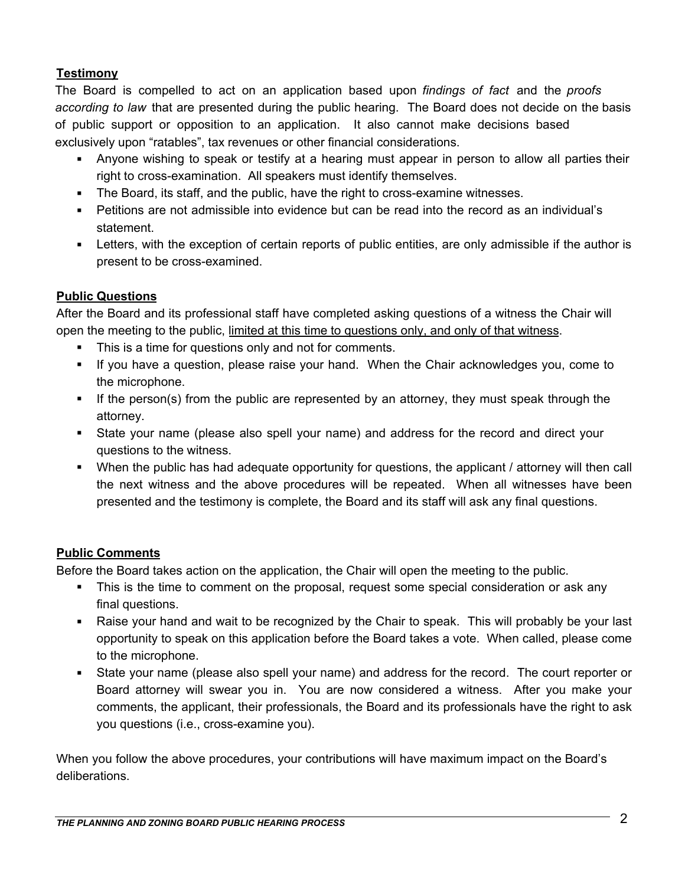## **Testimony**

The Board is compelled to act on an application based upon *findings of fact* and the *proofs according to law* that are presented during the public hearing. The Board does not decide on the basis of public support or opposition to an application. It also cannot make decisions based exclusively upon "ratables", tax revenues or other financial considerations.

- Anyone wishing to speak or testify at a hearing must appear in person to allow all parties their right to cross-examination. All speakers must identify themselves.
- The Board, its staff, and the public, have the right to cross-examine witnesses.
- Petitions are not admissible into evidence but can be read into the record as an individual's statement.
- Letters, with the exception of certain reports of public entities, are only admissible if the author is present to be cross-examined.

## **Public Questions**

After the Board and its professional staff have completed asking questions of a witness the Chair will open the meeting to the public, limited at this time to questions only, and only of that witness.

- This is a time for questions only and not for comments.
- If you have a question, please raise your hand. When the Chair acknowledges you, come to the microphone.
- If the person(s) from the public are represented by an attorney, they must speak through the attorney.
- State your name (please also spell your name) and address for the record and direct your questions to the witness.
- When the public has had adequate opportunity for questions, the applicant / attorney will then call the next witness and the above procedures will be repeated. When all witnesses have been presented and the testimony is complete, the Board and its staff will ask any final questions.

#### **Public Comments**

Before the Board takes action on the application, the Chair will open the meeting to the public.

- This is the time to comment on the proposal, request some special consideration or ask any final questions.
- Raise your hand and wait to be recognized by the Chair to speak. This will probably be your last opportunity to speak on this application before the Board takes a vote. When called, please come to the microphone.
- State your name (please also spell your name) and address for the record. The court reporter or Board attorney will swear you in. You are now considered a witness. After you make your comments, the applicant, their professionals, the Board and its professionals have the right to ask you questions (i.e., cross-examine you).

When you follow the above procedures, your contributions will have maximum impact on the Board's deliberations.